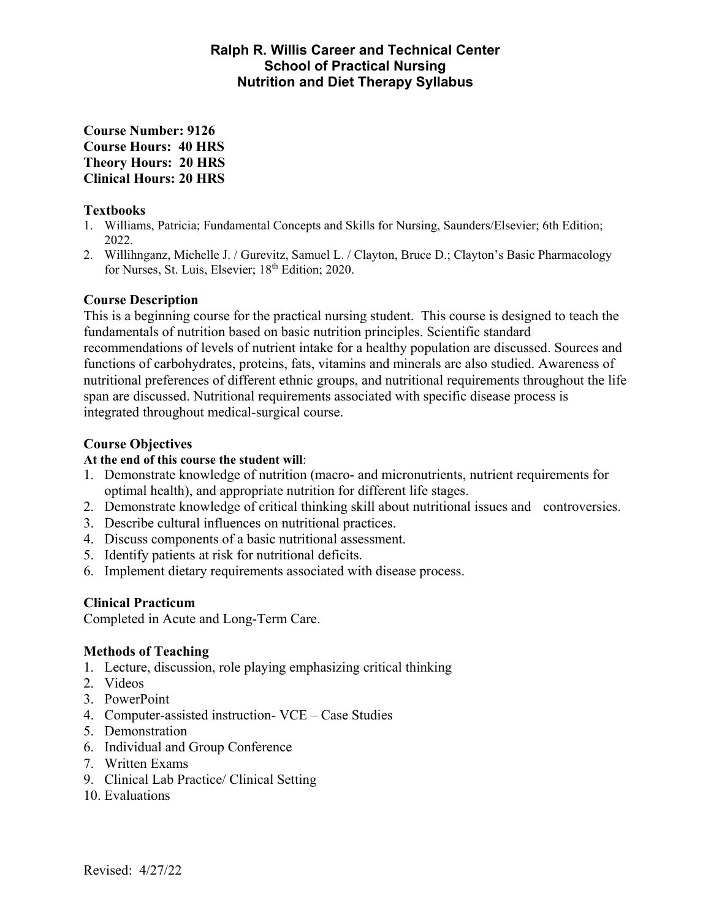## **Ralph R. Willis Career and Technical Center School of Practical Nursing Nutrition and Diet Therapy Syllabus**

**Course Number: 9126 Course Hours: 40 HRS Theory Hours: 20 HRS Clinical Hours: 20 HRS** 

#### **Textbooks**

- 1. Williams, Patricia; Fundamental Concepts and Skills for Nursing, Saunders/Elsevier; 6th Edition; 2022.
- 2. Willihnganz, Michelle J. / Gurevitz, Samuel L. / Clayton, Bruce D.; Clayton's Basic Pharmacology for Nurses, St. Luis, Elsevier; 18<sup>th</sup> Edition; 2020.

## **Course Description**

This is a beginning course for the practical nursing student. This course is designed to teach the fundamentals of nutrition based on basic nutrition principles. Scientific standard recommendations of levels of nutrient intake for a healthy population are discussed. Sources and functions of carbohydrates, proteins, fats, vitamins and minerals are also studied. Awareness of nutritional preferences of different ethnic groups, and nutritional requirements throughout the life span are discussed. Nutritional requirements associated with specific disease process is integrated throughout medical-surgical course.

## **Course Objectives**

#### **At the end of this course the student will**:

- 1. Demonstrate knowledge of nutrition (macro- and micronutrients, nutrient requirements for optimal health), and appropriate nutrition for different life stages.
- 2. Demonstrate knowledge of critical thinking skill about nutritional issues and controversies.
- 3. Describe cultural influences on nutritional practices.
- 4. Discuss components of a basic nutritional assessment.
- 5. Identify patients at risk for nutritional deficits.
- 6. Implement dietary requirements associated with disease process.

## **Clinical Practicum**

Completed in Acute and Long-Term Care.

## **Methods of Teaching**

- 1. Lecture, discussion, role playing emphasizing critical thinking
- 2. Videos
- 3. PowerPoint
- 4. Computer-assisted instruction- VCE Case Studies
- 5. Demonstration
- 6. Individual and Group Conference
- 7. Written Exams
- 9. Clinical Lab Practice/ Clinical Setting
- 10. Evaluations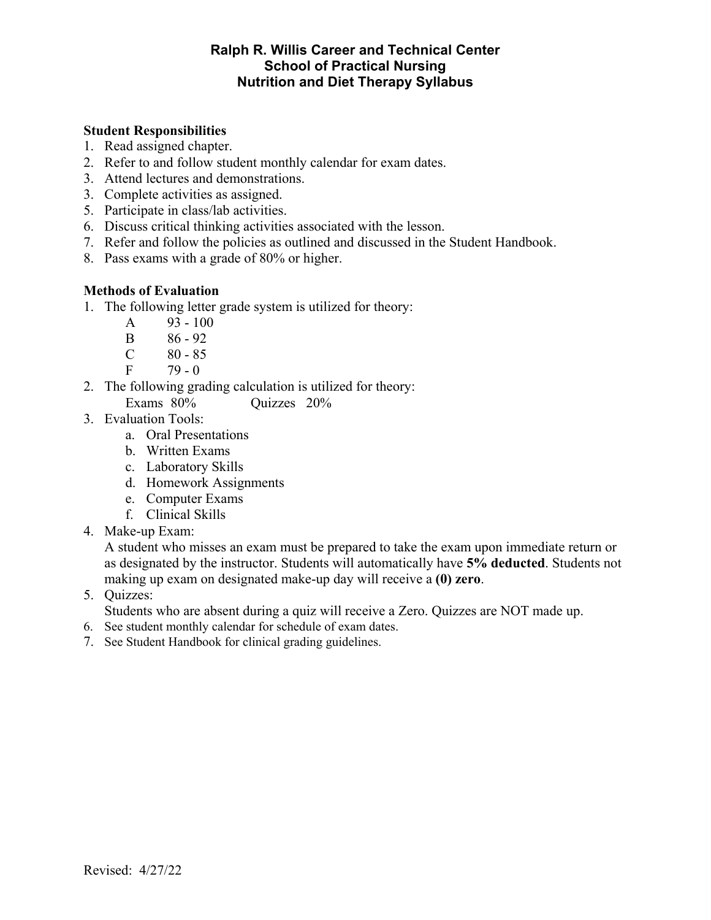## **Ralph R. Willis Career and Technical Center School of Practical Nursing Nutrition and Diet Therapy Syllabus**

#### **Student Responsibilities**

- 1. Read assigned chapter.
- 2. Refer to and follow student monthly calendar for exam dates.
- 3. Attend lectures and demonstrations.
- 3. Complete activities as assigned.
- 5. Participate in class/lab activities.
- 6. Discuss critical thinking activities associated with the lesson.
- 7. Refer and follow the policies as outlined and discussed in the Student Handbook.
- 8. Pass exams with a grade of 80% or higher.

#### **Methods of Evaluation**

- 1. The following letter grade system is utilized for theory:
	- A 93 100
	- B 86 92
	- $C \t 80 85$
	- $F = 79 0$
- 2. The following grading calculation is utilized for theory:
	- Exams 80% Quizzes 20%
- 3. Evaluation Tools:
	- a. Oral Presentations
	- b. Written Exams
	- c. Laboratory Skills
	- d. Homework Assignments
	- e. Computer Exams
	- f. Clinical Skills
- 4. Make-up Exam:

A student who misses an exam must be prepared to take the exam upon immediate return or as designated by the instructor. Students will automatically have **5% deducted**. Students not making up exam on designated make-up day will receive a **(0) zero**.

5. Quizzes:

Students who are absent during a quiz will receive a Zero. Quizzes are NOT made up.

- 6. See student monthly calendar for schedule of exam dates.
- 7. See Student Handbook for clinical grading guidelines.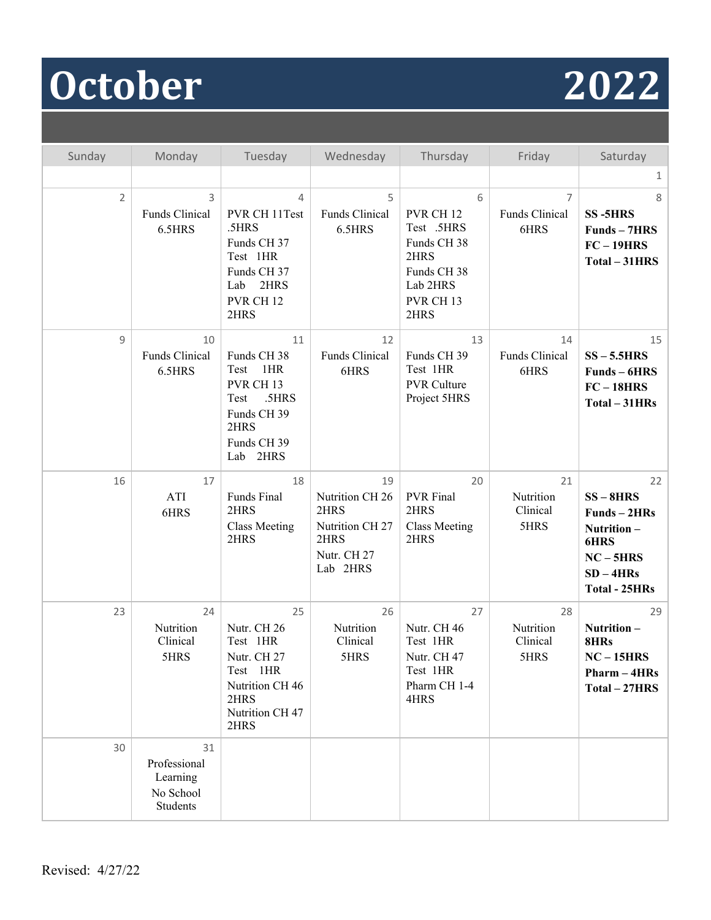# **October 2022**

| Sunday         | Monday                                                  | Tuesday                                                                                                                        | Wednesday                                                                           | Thursday                                                                                                                  | Friday                                   | Saturday                                                                                                    |
|----------------|---------------------------------------------------------|--------------------------------------------------------------------------------------------------------------------------------|-------------------------------------------------------------------------------------|---------------------------------------------------------------------------------------------------------------------------|------------------------------------------|-------------------------------------------------------------------------------------------------------------|
|                |                                                         |                                                                                                                                |                                                                                     |                                                                                                                           |                                          | $\mathbf{1}$                                                                                                |
| $\overline{2}$ | 3<br>Funds Clinical<br>6.5HRS                           | 4<br>PVR CH 11Test<br>.5HRS<br>Funds CH 37<br>Test 1HR<br>Funds CH 37<br>2HRS<br>Lab<br>PVR CH <sub>12</sub><br>2HRS           | 5<br>Funds Clinical<br>6.5HRS                                                       | 6<br>PVR CH <sub>12</sub><br>Test .5HRS<br>Funds CH 38<br>2HRS<br>Funds CH 38<br>Lab 2HRS<br>PVR CH <sub>13</sub><br>2HRS | $\overline{7}$<br>Funds Clinical<br>6HRS | 8<br><b>SS-5HRS</b><br>Funds - 7HRS<br>$FC-19HRS$<br>Total - 31HRS                                          |
| 9              | 10<br>Funds Clinical<br>6.5HRS                          | 11<br>Funds CH 38<br>1HR<br>Test<br>PVR CH <sub>13</sub><br>.5HRS<br>Test<br>Funds CH 39<br>2HRS<br>Funds CH 39<br>Lab<br>2HRS | 12<br>Funds Clinical<br>6HRS                                                        | 13<br>Funds CH 39<br>Test 1HR<br><b>PVR Culture</b><br>Project 5HRS                                                       | 14<br>Funds Clinical<br>6HRS             | 15<br>$SS - 5.5HRS$<br>Funds - 6HRS<br>$FC-18HRS$<br>Total - 31HRs                                          |
| 16             | 17<br>ATI<br>6HRS                                       | 18<br>Funds Final<br>2HRS<br><b>Class Meeting</b><br>2HRS                                                                      | 19<br>Nutrition CH 26<br>2HRS<br>Nutrition CH 27<br>2HRS<br>Nutr. CH 27<br>Lab 2HRS | 20<br><b>PVR</b> Final<br>2HRS<br><b>Class Meeting</b><br>2HRS                                                            | 21<br>Nutrition<br>Clinical<br>5HRS      | 22<br>$SS - 8HRS$<br>Funds-2HRs<br>Nutrition-<br>6HRS<br>$NC - 5HRS$<br>$SD - 4HRs$<br><b>Total - 25HRs</b> |
| 23             | 24<br>Nutrition<br>Clinical<br>5HRS                     | 25<br>Nutr. CH 26<br>Test 1HR<br>Nutr. CH 27<br>Test 1HR<br>Nutrition CH 46<br>2HRS<br>Nutrition CH 47<br>2HRS                 | 26<br>Nutrition<br>Clinical<br>5HRS                                                 | 27<br>Nutr. CH 46<br>Test 1HR<br>Nutr. CH 47<br>Test 1HR<br>Pharm CH 1-4<br>4HRS                                          | 28<br>Nutrition<br>Clinical<br>5HRS      | 29<br>Nutrition-<br>8HRs<br>$NC-15HRS$<br>Pharm - 4HRs<br>Total - 27HRS                                     |
| 30             | 31<br>Professional<br>Learning<br>No School<br>Students |                                                                                                                                |                                                                                     |                                                                                                                           |                                          |                                                                                                             |